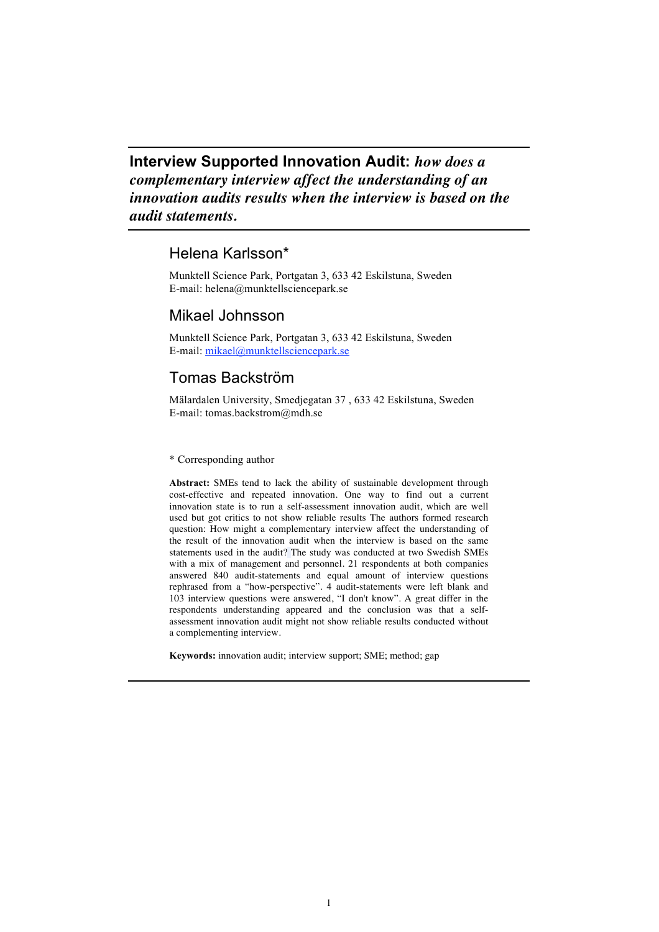**Interview Supported Innovation Audit:** *how does a complementary interview affect the understanding of an innovation audits results when the interview is based on the audit statements.*

## Helena Karlsson\*

Munktell Science Park, Portgatan 3, 633 42 Eskilstuna, Sweden E-mail: helena@munktellsciencepark.se

## Mikael Johnsson

Munktell Science Park, Portgatan 3, 633 42 Eskilstuna, Sweden E-mail: mikael@munktellsciencepark.se

# Tomas Backström

Mälardalen University, Smedjegatan 37 , 633 42 Eskilstuna, Sweden E-mail: tomas.backstrom@mdh.se

## \* Corresponding author

**Abstract:** SMEs tend to lack the ability of sustainable development through cost-effective and repeated innovation. One way to find out a current innovation state is to run a self-assessment innovation audit, which are well used but got critics to not show reliable results The authors formed research question: How might a complementary interview affect the understanding of the result of the innovation audit when the interview is based on the same statements used in the audit? The study was conducted at two Swedish SMEs with a mix of management and personnel. 21 respondents at both companies answered 840 audit-statements and equal amount of interview questions rephrased from a "how-perspective". 4 audit-statements were left blank and 103 interview questions were answered, "I don't know". A great differ in the respondents understanding appeared and the conclusion was that a selfassessment innovation audit might not show reliable results conducted without a complementing interview.

**Keywords:** innovation audit; interview support; SME; method; gap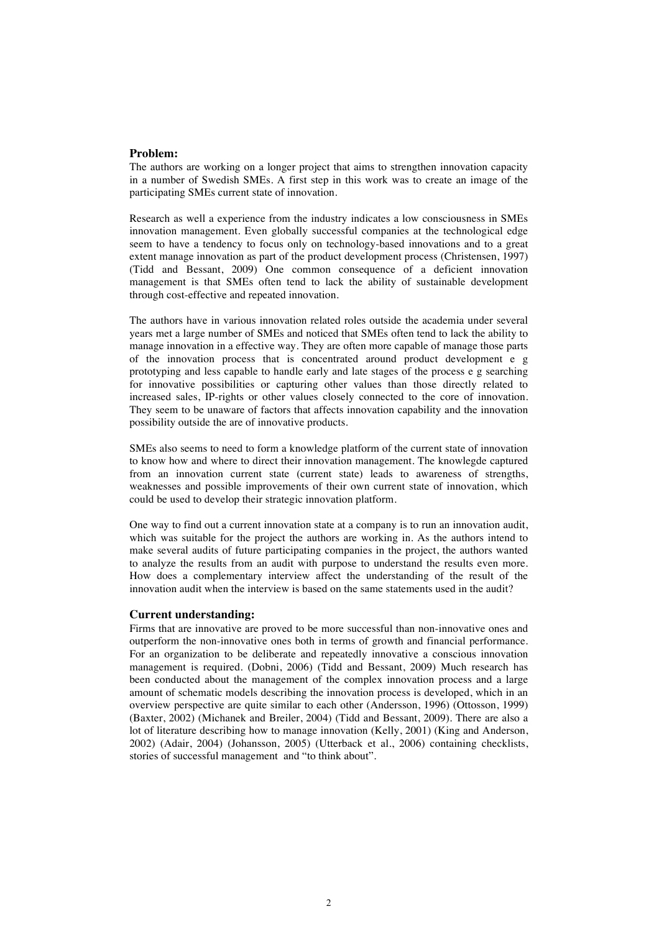### **Problem:**

The authors are working on a longer project that aims to strengthen innovation capacity in a number of Swedish SMEs. A first step in this work was to create an image of the participating SMEs current state of innovation.

Research as well a experience from the industry indicates a low consciousness in SMEs innovation management. Even globally successful companies at the technological edge seem to have a tendency to focus only on technology-based innovations and to a great extent manage innovation as part of the product development process (Christensen, 1997) (Tidd and Bessant, 2009) One common consequence of a deficient innovation management is that SMEs often tend to lack the ability of sustainable development through cost-effective and repeated innovation.

The authors have in various innovation related roles outside the academia under several years met a large number of SMEs and noticed that SMEs often tend to lack the ability to manage innovation in a effective way. They are often more capable of manage those parts of the innovation process that is concentrated around product development e g prototyping and less capable to handle early and late stages of the process e g searching for innovative possibilities or capturing other values than those directly related to increased sales, IP-rights or other values closely connected to the core of innovation. They seem to be unaware of factors that affects innovation capability and the innovation possibility outside the are of innovative products.

SMEs also seems to need to form a knowledge platform of the current state of innovation to know how and where to direct their innovation management. The knowlegde captured from an innovation current state (current state) leads to awareness of strengths, weaknesses and possible improvements of their own current state of innovation, which could be used to develop their strategic innovation platform.

One way to find out a current innovation state at a company is to run an innovation audit, which was suitable for the project the authors are working in. As the authors intend to make several audits of future participating companies in the project, the authors wanted to analyze the results from an audit with purpose to understand the results even more. How does a complementary interview affect the understanding of the result of the innovation audit when the interview is based on the same statements used in the audit?

#### **Current understanding:**

Firms that are innovative are proved to be more successful than non-innovative ones and outperform the non-innovative ones both in terms of growth and financial performance. For an organization to be deliberate and repeatedly innovative a conscious innovation management is required. (Dobni, 2006) (Tidd and Bessant, 2009) Much research has been conducted about the management of the complex innovation process and a large amount of schematic models describing the innovation process is developed, which in an overview perspective are quite similar to each other (Andersson, 1996) (Ottosson, 1999) (Baxter, 2002) (Michanek and Breiler, 2004) (Tidd and Bessant, 2009). There are also a lot of literature describing how to manage innovation (Kelly, 2001) (King and Anderson, 2002) (Adair, 2004) (Johansson, 2005) (Utterback et al., 2006) containing checklists, stories of successful management and "to think about".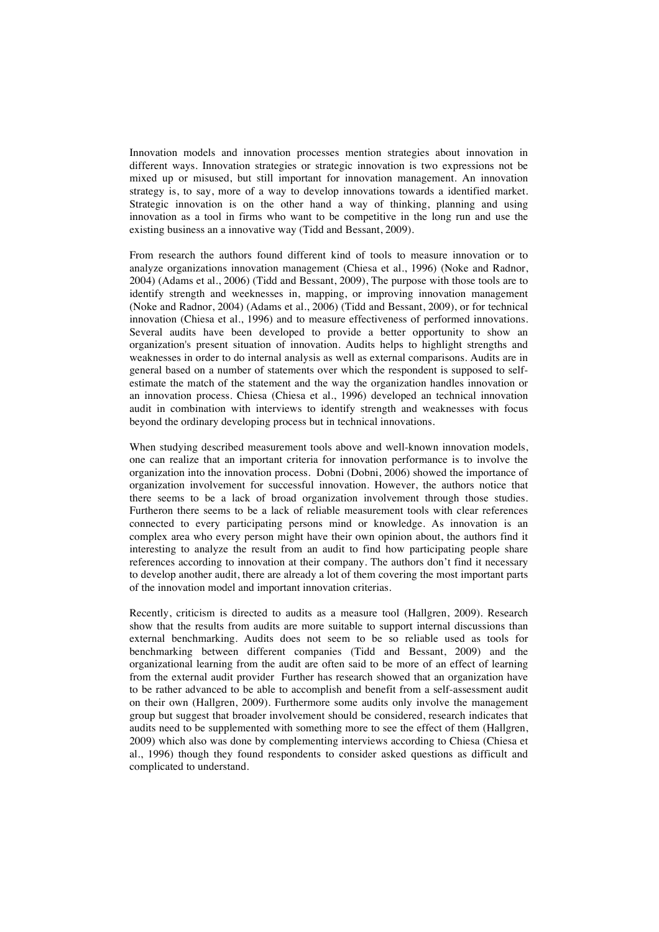Innovation models and innovation processes mention strategies about innovation in different ways. Innovation strategies or strategic innovation is two expressions not be mixed up or misused, but still important for innovation management. An innovation strategy is, to say, more of a way to develop innovations towards a identified market. Strategic innovation is on the other hand a way of thinking, planning and using innovation as a tool in firms who want to be competitive in the long run and use the existing business an a innovative way (Tidd and Bessant, 2009).

From research the authors found different kind of tools to measure innovation or to analyze organizations innovation management (Chiesa et al., 1996) (Noke and Radnor, 2004) (Adams et al., 2006) (Tidd and Bessant, 2009), The purpose with those tools are to identify strength and weeknesses in, mapping, or improving innovation management (Noke and Radnor, 2004) (Adams et al., 2006) (Tidd and Bessant, 2009), or for technical innovation (Chiesa et al., 1996) and to measure effectiveness of performed innovations. Several audits have been developed to provide a better opportunity to show an organization's present situation of innovation. Audits helps to highlight strengths and weaknesses in order to do internal analysis as well as external comparisons. Audits are in general based on a number of statements over which the respondent is supposed to selfestimate the match of the statement and the way the organization handles innovation or an innovation process. Chiesa (Chiesa et al., 1996) developed an technical innovation audit in combination with interviews to identify strength and weaknesses with focus beyond the ordinary developing process but in technical innovations.

When studying described measurement tools above and well-known innovation models, one can realize that an important criteria for innovation performance is to involve the organization into the innovation process. Dobni (Dobni, 2006) showed the importance of organization involvement for successful innovation. However, the authors notice that there seems to be a lack of broad organization involvement through those studies. Furtheron there seems to be a lack of reliable measurement tools with clear references connected to every participating persons mind or knowledge. As innovation is an complex area who every person might have their own opinion about, the authors find it interesting to analyze the result from an audit to find how participating people share references according to innovation at their company. The authors don't find it necessary to develop another audit, there are already a lot of them covering the most important parts of the innovation model and important innovation criterias.

Recently, criticism is directed to audits as a measure tool (Hallgren, 2009). Research show that the results from audits are more suitable to support internal discussions than external benchmarking. Audits does not seem to be so reliable used as tools for benchmarking between different companies (Tidd and Bessant, 2009) and the organizational learning from the audit are often said to be more of an effect of learning from the external audit provider Further has research showed that an organization have to be rather advanced to be able to accomplish and benefit from a self-assessment audit on their own (Hallgren, 2009). Furthermore some audits only involve the management group but suggest that broader involvement should be considered, research indicates that audits need to be supplemented with something more to see the effect of them (Hallgren, 2009) which also was done by complementing interviews according to Chiesa (Chiesa et al., 1996) though they found respondents to consider asked questions as difficult and complicated to understand.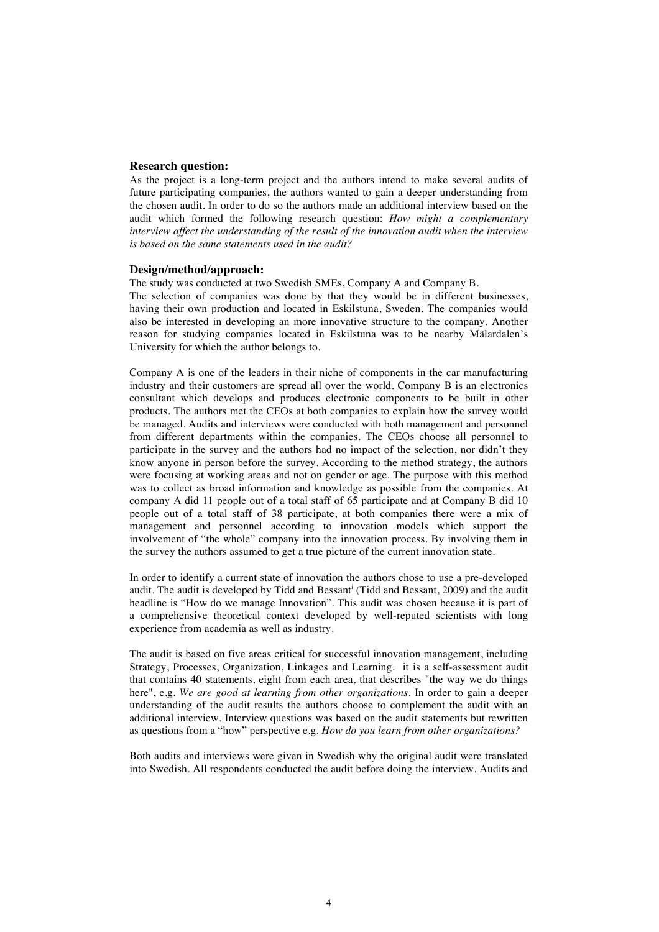## **Research question:**

As the project is a long-term project and the authors intend to make several audits of future participating companies, the authors wanted to gain a deeper understanding from the chosen audit. In order to do so the authors made an additional interview based on the audit which formed the following research question: *How might a complementary interview affect the understanding of the result of the innovation audit when the interview is based on the same statements used in the audit?*

#### **Design/method/approach:**

The study was conducted at two Swedish SMEs, Company A and Company B.

The selection of companies was done by that they would be in different businesses, having their own production and located in Eskilstuna, Sweden. The companies would also be interested in developing an more innovative structure to the company. Another reason for studying companies located in Eskilstuna was to be nearby Mälardalen's University for which the author belongs to.

Company A is one of the leaders in their niche of components in the car manufacturing industry and their customers are spread all over the world. Company B is an electronics consultant which develops and produces electronic components to be built in other products. The authors met the CEOs at both companies to explain how the survey would be managed. Audits and interviews were conducted with both management and personnel from different departments within the companies. The CEOs choose all personnel to participate in the survey and the authors had no impact of the selection, nor didn't they know anyone in person before the survey. According to the method strategy, the authors were focusing at working areas and not on gender or age. The purpose with this method was to collect as broad information and knowledge as possible from the companies. At company A did 11 people out of a total staff of 65 participate and at Company B did 10 people out of a total staff of 38 participate, at both companies there were a mix of management and personnel according to innovation models which support the involvement of "the whole" company into the innovation process. By involving them in the survey the authors assumed to get a true picture of the current innovation state.

In order to identify a current state of innovation the authors chose to use a pre-developed audit. The audit is developed by Tidd and Bessant<sup>i</sup> (Tidd and Bessant, 2009) and the audit headline is "How do we manage Innovation". This audit was chosen because it is part of a comprehensive theoretical context developed by well-reputed scientists with long experience from academia as well as industry.

The audit is based on five areas critical for successful innovation management, including Strategy, Processes, Organization, Linkages and Learning. it is a self-assessment audit that contains 40 statements, eight from each area, that describes "the way we do things here", e.g. *We are good at learning from other organizations.* In order to gain a deeper understanding of the audit results the authors choose to complement the audit with an additional interview. Interview questions was based on the audit statements but rewritten as questions from a "how" perspective e.g. *How do you learn from other organizations?*

Both audits and interviews were given in Swedish why the original audit were translated into Swedish. All respondents conducted the audit before doing the interview. Audits and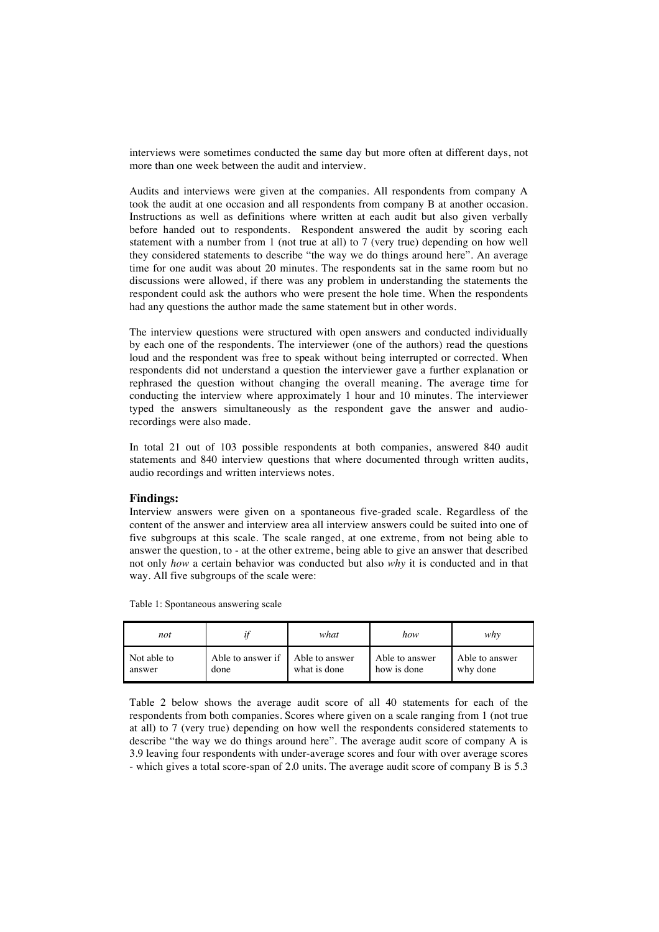interviews were sometimes conducted the same day but more often at different days, not more than one week between the audit and interview.

Audits and interviews were given at the companies. All respondents from company A took the audit at one occasion and all respondents from company B at another occasion. Instructions as well as definitions where written at each audit but also given verbally before handed out to respondents. Respondent answered the audit by scoring each statement with a number from 1 (not true at all) to 7 (very true) depending on how well they considered statements to describe "the way we do things around here". An average time for one audit was about 20 minutes. The respondents sat in the same room but no discussions were allowed, if there was any problem in understanding the statements the respondent could ask the authors who were present the hole time. When the respondents had any questions the author made the same statement but in other words.

The interview questions were structured with open answers and conducted individually by each one of the respondents. The interviewer (one of the authors) read the questions loud and the respondent was free to speak without being interrupted or corrected. When respondents did not understand a question the interviewer gave a further explanation or rephrased the question without changing the overall meaning. The average time for conducting the interview where approximately 1 hour and 10 minutes. The interviewer typed the answers simultaneously as the respondent gave the answer and audiorecordings were also made.

In total 21 out of 103 possible respondents at both companies, answered 840 audit statements and 840 interview questions that where documented through written audits, audio recordings and written interviews notes.

### **Findings:**

Interview answers were given on a spontaneous five-graded scale. Regardless of the content of the answer and interview area all interview answers could be suited into one of five subgroups at this scale. The scale ranged, at one extreme, from not being able to answer the question, to - at the other extreme, being able to give an answer that described not only *how* a certain behavior was conducted but also *why* it is conducted and in that way. All five subgroups of the scale were:

*not if what how why* Not able to answer Able to answer if done Able to answer what is done Able to answer how is done Able to answer why done

Table 1: Spontaneous answering scale

Table 2 below shows the average audit score of all 40 statements for each of the respondents from both companies. Scores where given on a scale ranging from 1 (not true at all) to 7 (very true) depending on how well the respondents considered statements to describe "the way we do things around here". The average audit score of company A is 3.9 leaving four respondents with under-average scores and four with over average scores - which gives a total score-span of 2.0 units. The average audit score of company B is 5.3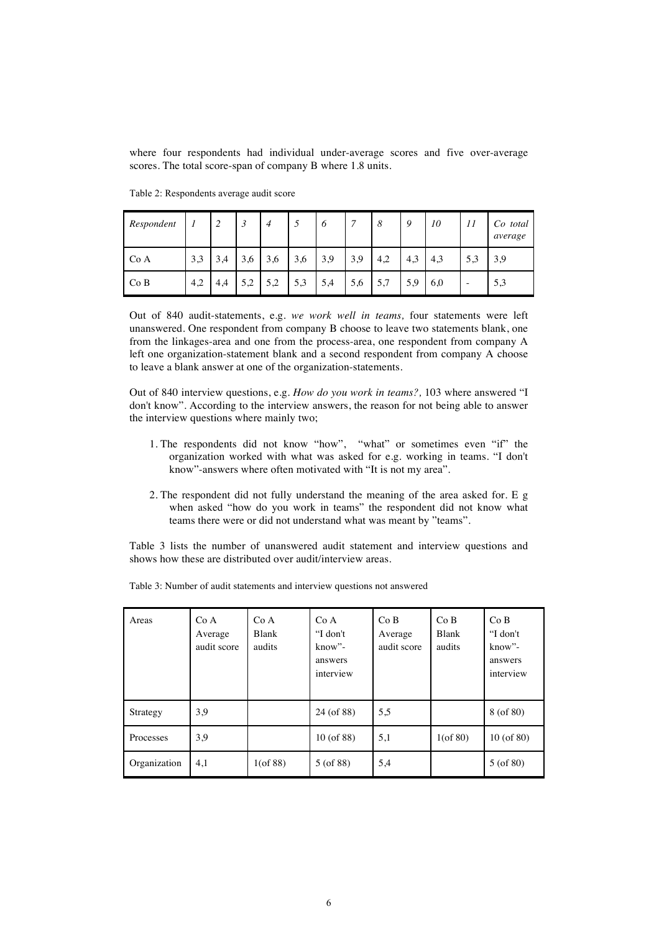where four respondents had individual under-average scores and five over-average scores. The total score-span of company B where 1.8 units.

| Respondent |     | 2   | 3   | 4   | 5   | 6   | 7   | 8   | 9   | 10  | 11     | Co total<br>average |
|------------|-----|-----|-----|-----|-----|-----|-----|-----|-----|-----|--------|---------------------|
| Co A       | 3,3 | 3,4 | 3,6 | 3,6 | 3,6 | 3,9 | 3,9 | 4,2 | 4,3 | 4,3 | 5,3    | 3,9                 |
| Co B       | 4,2 | 4,4 | 5,2 | 5,2 | 5,3 | 5,4 | 5,6 | 5,7 | 5,9 | 6,0 | $\sim$ | 5,3                 |

Table 2: Respondents average audit score

Out of 840 audit-statements, e.g. *we work well in teams,* four statements were left unanswered. One respondent from company B choose to leave two statements blank, one from the linkages-area and one from the process-area, one respondent from company A left one organization-statement blank and a second respondent from company A choose to leave a blank answer at one of the organization-statements.

Out of 840 interview questions, e.g. *How do you work in teams?,* 103 where answered "I don't know". According to the interview answers, the reason for not being able to answer the interview questions where mainly two;

- 1. The respondents did not know "how", "what" or sometimes even "if" the organization worked with what was asked for e.g. working in teams. "I don't know"-answers where often motivated with "It is not my area".
- 2. The respondent did not fully understand the meaning of the area asked for. E g when asked "how do you work in teams" the respondent did not know what teams there were or did not understand what was meant by "teams".

Table 3 lists the number of unanswered audit statement and interview questions and shows how these are distributed over audit/interview areas.

| Areas        | Co A<br>Average<br>audit score | Co A<br><b>Blank</b><br>audits | Co A<br>"I don't<br>$know$ "-<br>answers<br>interview | Co B<br>Average<br>audit score | Co B<br><b>Blank</b><br>audits | Co B<br>"I don't<br>$know$ "-<br>answers<br>interview |
|--------------|--------------------------------|--------------------------------|-------------------------------------------------------|--------------------------------|--------------------------------|-------------------------------------------------------|
| Strategy     | 3,9                            |                                | 24 (of 88)                                            | 5.5                            |                                | $8($ of $80)$                                         |
| Processes    | 3,9                            |                                | 10 (of 88)                                            | 5,1                            | $1($ of 80 $)$                 | $10($ of $80)$                                        |
| Organization | 4,1                            | $1($ of 88)                    | $5($ of 88)                                           | 5,4                            |                                | $5($ of 80)                                           |

Table 3: Number of audit statements and interview questions not answered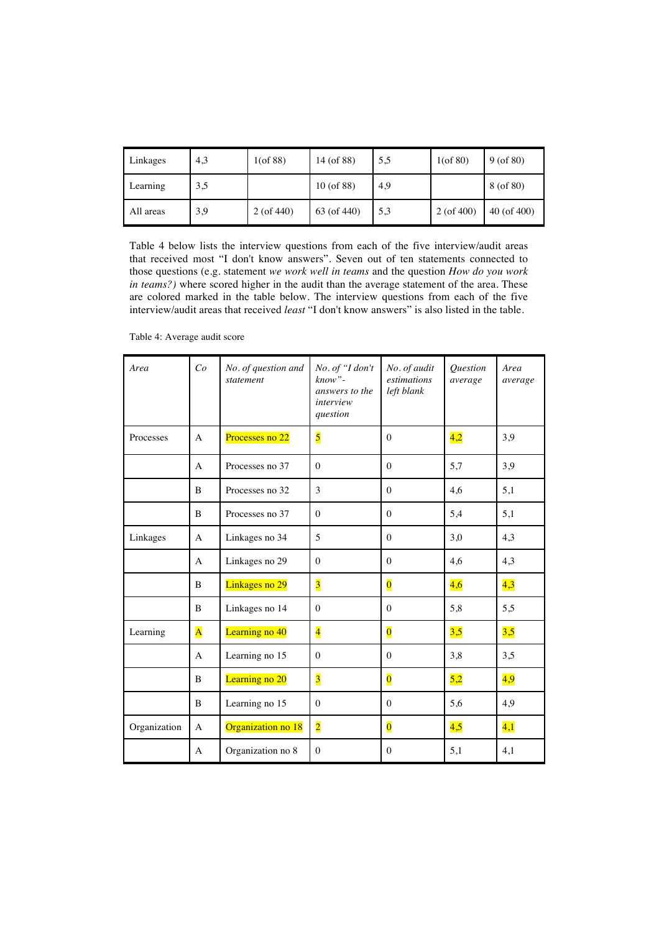| Linkages  | 4,3 | $1($ of 88)  | 14 (of 88)   | 5,5 | $1($ of 80)     | $9($ of 80)      |
|-----------|-----|--------------|--------------|-----|-----------------|------------------|
| Learning  | 3,5 |              | $10($ of 88) | 4,9 |                 | $8($ of $80)$    |
| All areas | 3,9 | $2($ of 440) | 63 (of 440)  | 5,3 | $2($ of 400 $)$ | $40$ (of $400$ ) |

Table 4 below lists the interview questions from each of the five interview/audit areas that received most "I don't know answers". Seven out of ten statements connected to those questions (e.g. statement *we work well in teams* and the question *How do you work in teams?)* where scored higher in the audit than the average statement of the area. These are colored marked in the table below. The interview questions from each of the five interview/audit areas that received *least* "I don't know answers" is also listed in the table.

| Area         | Co                      | No. of question and<br>statement | No. of "I don't<br>$known$ "-<br>answers to the<br>interview<br>question | No. of audit<br>estimations<br>left blank | Question<br>average | Area<br>average |
|--------------|-------------------------|----------------------------------|--------------------------------------------------------------------------|-------------------------------------------|---------------------|-----------------|
| Processes    | A                       | Processes no 22                  | $\overline{\mathbf{5}}$                                                  | $\mathbf{0}$                              | 4,2                 | 3,9             |
|              | $\mathsf{A}$            | Processes no 37                  | $\theta$                                                                 | $\Omega$                                  | 5,7                 | 3,9             |
|              | B                       | Processes no 32                  | 3                                                                        | $\Omega$                                  | 4,6                 | 5,1             |
|              | B                       | Processes no 37                  | $\Omega$                                                                 | $\Omega$                                  | 5,4                 | 5,1             |
| Linkages     | A                       | Linkages no 34                   | 5                                                                        | $\Omega$                                  | 3,0                 | 4,3             |
|              | $\mathbf{A}$            | Linkages no 29                   | $\mathbf{0}$                                                             | $\mathbf{0}$                              | 4,6                 | 4,3             |
|              | $\overline{B}$          | Linkages no 29                   | $\overline{3}$                                                           | $\overline{\mathbf{0}}$                   | 4,6                 | 4,3             |
|              | B                       | Linkages no 14                   | $\Omega$                                                                 | $\mathbf{0}$                              | 5,8                 | 5,5             |
| Learning     | $\overline{\mathbf{A}}$ | Learning no 40                   | $\overline{4}$                                                           | $\overline{\mathbf{0}}$                   | 3,5                 | 3,5             |
|              | $\mathbf{A}$            | Learning no 15                   | $\mathbf{0}$                                                             | $\mathbf{0}$                              | 3,8                 | 3,5             |
|              | B                       | Learning no 20                   | $\overline{\mathbf{3}}$                                                  | $\overline{\mathbf{0}}$                   | 5,2                 | 4,9             |
|              | B                       | Learning no 15                   | $\Omega$                                                                 | $\mathbf{0}$                              | 5,6                 | 4,9             |
| Organization | A                       | Organization no 18               | $\overline{2}$                                                           | $\overline{\mathbf{0}}$                   | 4,5                 | 4,1             |
|              | A                       | Organization no 8                | $\mathbf{0}$                                                             | $\mathbf{0}$                              | 5,1                 | 4,1             |

Table 4: Average audit score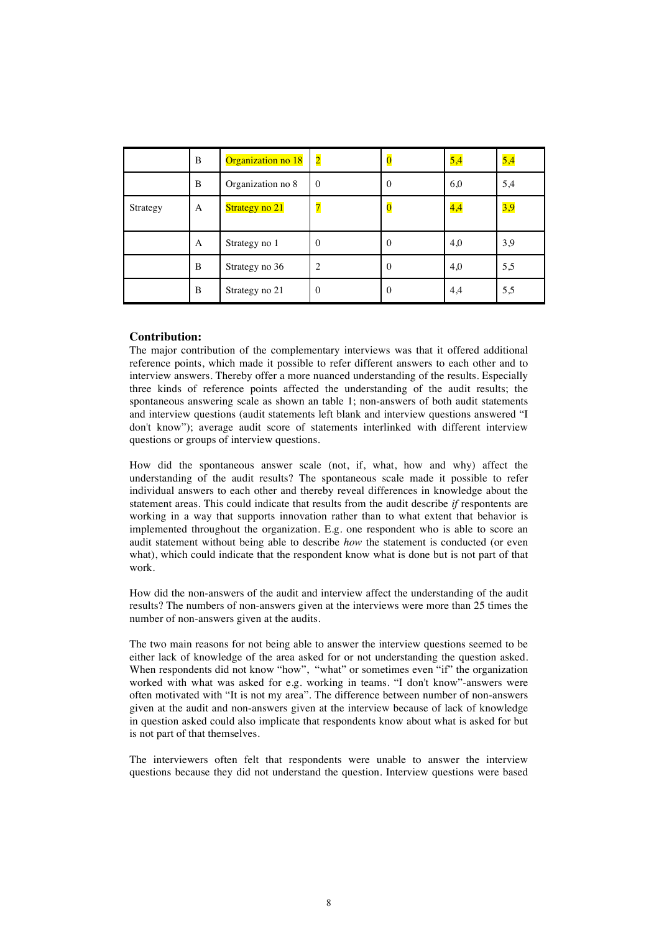|          | B | Organization no 18 | $\overline{\mathbf{2}}$ | $\overline{\mathbf{0}}$ | 5,4 | 5,4 |
|----------|---|--------------------|-------------------------|-------------------------|-----|-----|
|          | B | Organization no 8  | $\mathbf{0}$            | $\mathbf{0}$            | 6,0 | 5,4 |
| Strategy | A | Strategy no 21     | $\overline{\mathbf{z}}$ | $\bf{0}$                | 4,4 | 3,9 |
|          | A | Strategy no 1      | $\Omega$                | $\mathbf{0}$            | 4,0 | 3,9 |
|          | B | Strategy no 36     | $\overline{c}$          | $\Omega$                | 4,0 | 5,5 |
|          | B | Strategy no 21     | $\Omega$                | $\mathbf{0}$            | 4,4 | 5,5 |

## **Contribution:**

The major contribution of the complementary interviews was that it offered additional reference points, which made it possible to refer different answers to each other and to interview answers. Thereby offer a more nuanced understanding of the results. Especially three kinds of reference points affected the understanding of the audit results; the spontaneous answering scale as shown an table 1; non-answers of both audit statements and interview questions (audit statements left blank and interview questions answered "I don't know"); average audit score of statements interlinked with different interview questions or groups of interview questions.

How did the spontaneous answer scale (not, if, what, how and why) affect the understanding of the audit results? The spontaneous scale made it possible to refer individual answers to each other and thereby reveal differences in knowledge about the statement areas. This could indicate that results from the audit describe *if* respontents are working in a way that supports innovation rather than to what extent that behavior is implemented throughout the organization. E.g. one respondent who is able to score an audit statement without being able to describe *how* the statement is conducted (or even what), which could indicate that the respondent know what is done but is not part of that work.

How did the non-answers of the audit and interview affect the understanding of the audit results? The numbers of non-answers given at the interviews were more than 25 times the number of non-answers given at the audits.

The two main reasons for not being able to answer the interview questions seemed to be either lack of knowledge of the area asked for or not understanding the question asked. When respondents did not know "how", "what" or sometimes even "if" the organization worked with what was asked for e.g. working in teams. "I don't know"-answers were often motivated with "It is not my area". The difference between number of non-answers given at the audit and non-answers given at the interview because of lack of knowledge in question asked could also implicate that respondents know about what is asked for but is not part of that themselves.

The interviewers often felt that respondents were unable to answer the interview questions because they did not understand the question. Interview questions were based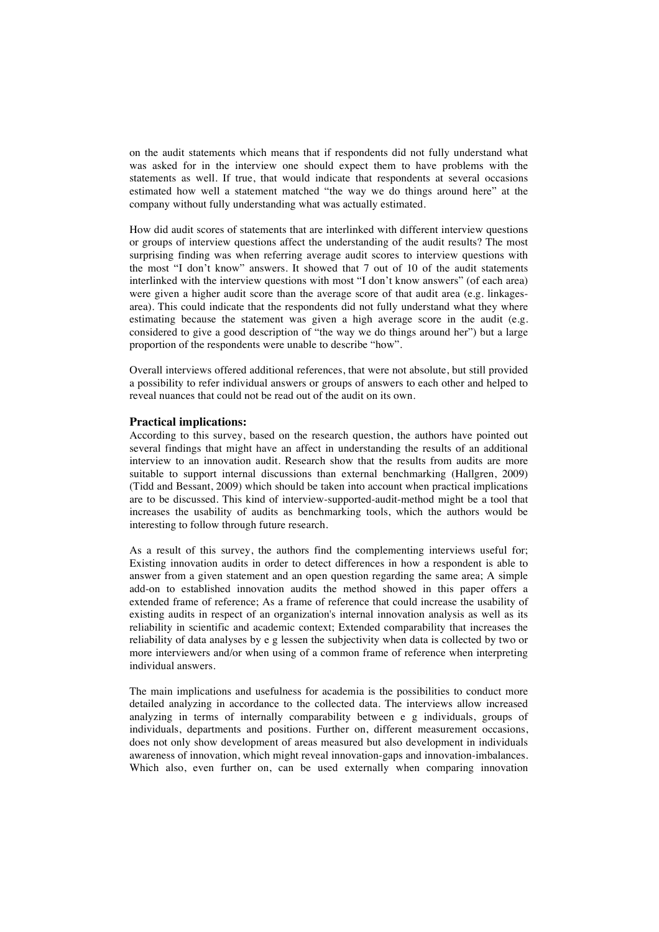on the audit statements which means that if respondents did not fully understand what was asked for in the interview one should expect them to have problems with the statements as well. If true, that would indicate that respondents at several occasions estimated how well a statement matched "the way we do things around here" at the company without fully understanding what was actually estimated.

How did audit scores of statements that are interlinked with different interview questions or groups of interview questions affect the understanding of the audit results? The most surprising finding was when referring average audit scores to interview questions with the most "I don't know" answers. It showed that 7 out of 10 of the audit statements interlinked with the interview questions with most "I don't know answers" (of each area) were given a higher audit score than the average score of that audit area (e.g. linkagesarea). This could indicate that the respondents did not fully understand what they where estimating because the statement was given a high average score in the audit (e.g. considered to give a good description of "the way we do things around her") but a large proportion of the respondents were unable to describe "how".

Overall interviews offered additional references, that were not absolute, but still provided a possibility to refer individual answers or groups of answers to each other and helped to reveal nuances that could not be read out of the audit on its own.

#### **Practical implications:**

According to this survey, based on the research question, the authors have pointed out several findings that might have an affect in understanding the results of an additional interview to an innovation audit. Research show that the results from audits are more suitable to support internal discussions than external benchmarking (Hallgren, 2009) (Tidd and Bessant, 2009) which should be taken into account when practical implications are to be discussed. This kind of interview-supported-audit-method might be a tool that increases the usability of audits as benchmarking tools, which the authors would be interesting to follow through future research.

As a result of this survey, the authors find the complementing interviews useful for; Existing innovation audits in order to detect differences in how a respondent is able to answer from a given statement and an open question regarding the same area; A simple add-on to established innovation audits the method showed in this paper offers a extended frame of reference; As a frame of reference that could increase the usability of existing audits in respect of an organization's internal innovation analysis as well as its reliability in scientific and academic context; Extended comparability that increases the reliability of data analyses by e g lessen the subjectivity when data is collected by two or more interviewers and/or when using of a common frame of reference when interpreting individual answers.

The main implications and usefulness for academia is the possibilities to conduct more detailed analyzing in accordance to the collected data. The interviews allow increased analyzing in terms of internally comparability between e g individuals, groups of individuals, departments and positions. Further on, different measurement occasions, does not only show development of areas measured but also development in individuals awareness of innovation, which might reveal innovation-gaps and innovation-imbalances. Which also, even further on, can be used externally when comparing innovation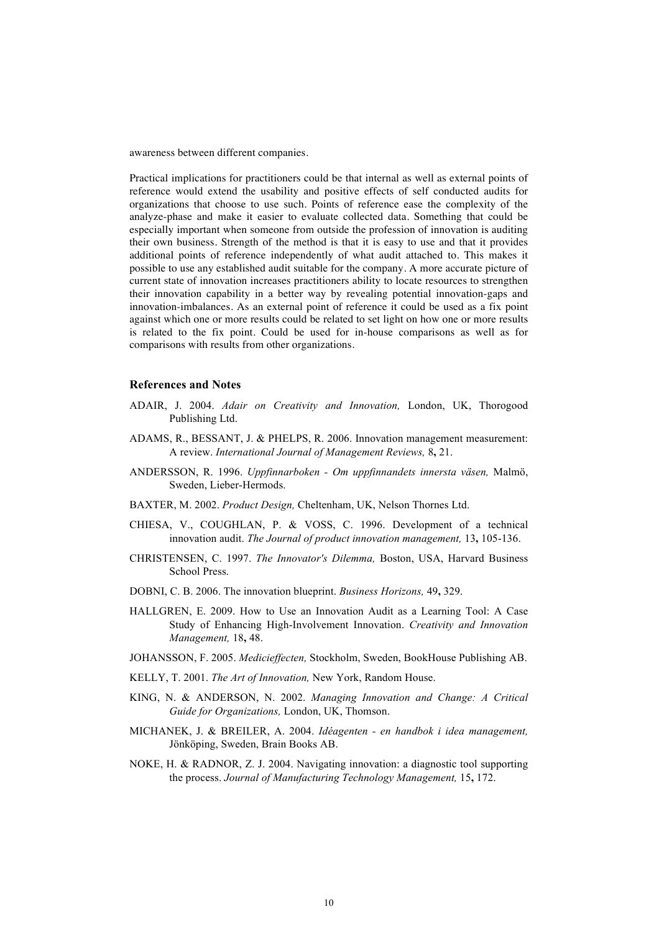awareness between different companies.

Practical implications for practitioners could be that internal as well as external points of reference would extend the usability and positive effects of self conducted audits for organizations that choose to use such. Points of reference ease the complexity of the analyze-phase and make it easier to evaluate collected data. Something that could be especially important when someone from outside the profession of innovation is auditing their own business. Strength of the method is that it is easy to use and that it provides additional points of reference independently of what audit attached to. This makes it possible to use any established audit suitable for the company. A more accurate picture of current state of innovation increases practitioners ability to locate resources to strengthen their innovation capability in a better way by revealing potential innovation-gaps and innovation-imbalances. As an external point of reference it could be used as a fix point against which one or more results could be related to set light on how one or more results is related to the fix point. Could be used for in-house comparisons as well as for comparisons with results from other organizations.

### **References and Notes**

- ADAIR, J. 2004. *Adair on Creativity and Innovation,* London, UK, Thorogood Publishing Ltd.
- ADAMS, R., BESSANT, J. & PHELPS, R. 2006. Innovation management measurement: A review. *International Journal of Management Reviews,* 8**,** 21.
- ANDERSSON, R. 1996. *Uppfinnarboken Om uppfinnandets innersta väsen,* Malmö, Sweden, Lieber-Hermods.
- BAXTER, M. 2002. *Product Design,* Cheltenham, UK, Nelson Thornes Ltd.
- CHIESA, V., COUGHLAN, P. & VOSS, C. 1996. Development of a technical innovation audit. *The Journal of product innovation management,* 13**,** 105-136.
- CHRISTENSEN, C. 1997. *The Innovator's Dilemma,* Boston, USA, Harvard Business School Press.
- DOBNI, C. B. 2006. The innovation blueprint. *Business Horizons,* 49**,** 329.
- HALLGREN, E. 2009. How to Use an Innovation Audit as a Learning Tool: A Case Study of Enhancing High-Involvement Innovation. *Creativity and Innovation Management,* 18**,** 48.
- JOHANSSON, F. 2005. *Medicieffecten,* Stockholm, Sweden, BookHouse Publishing AB.
- KELLY, T. 2001. *The Art of Innovation,* New York, Random House.
- KING, N. & ANDERSON, N. 2002. *Managing Innovation and Change: A Critical Guide for Organizations,* London, UK, Thomson.
- MICHANEK, J. & BREILER, A. 2004. *Idéagenten en handbok i idea management,*  Jönköping, Sweden, Brain Books AB.
- NOKE, H. & RADNOR, Z. J. 2004. Navigating innovation: a diagnostic tool supporting the process. *Journal of Manufacturing Technology Management,* 15**,** 172.